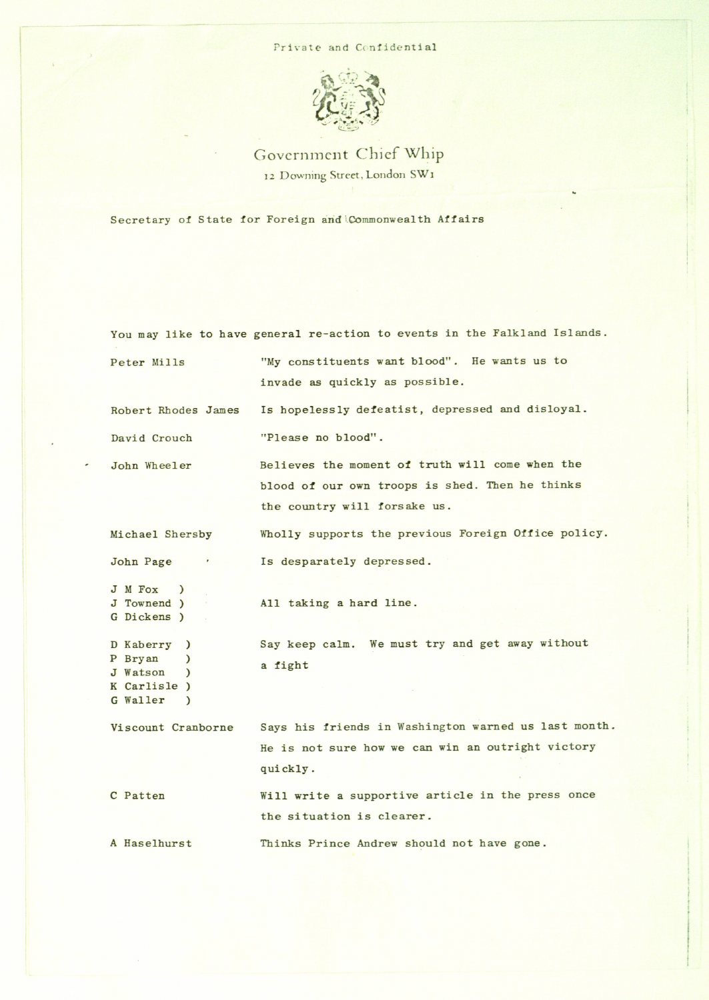## Private and Confidential



Government Chief Whip 12 Downing Street, London SW1

Secretary of State for Foreign and Commonwealth Affairs

You may like to have general re-action to events in the Falkland Islands. Peter Mills "My constituents want blood". He wamts us to invade as quickly as possible. Robert Rhodes James Is hopelessly defeatist, depressed and disloyal. David Crouch "Please no blood". John Wheeler Believes the moment of truth will come when the blood of our own troops is shed. Then he thinks the country will forsake us. Michael Shersby Wholly supports the previous Foreign Office policy. John Page  $\qquad \qquad$  Is desparately depressed. J M Fox  $\lambda$ J Townend ) All taking a hard line. Dickens ) Say keep calm. We must try and get away without D Kaberry ) P Bryan  $\lambda$ a fight J Watson  $\lambda$ K Carlisle ) Waller)  $\lambda$ Viscount Cranborne Says his friends in Washington warned us last month. He is not sure how we can win an outright victory quickly. C Patten Will write a supportive article in the press once the situation is clearer. A Haselhurst Thinks Prince Andrew should not have gone.